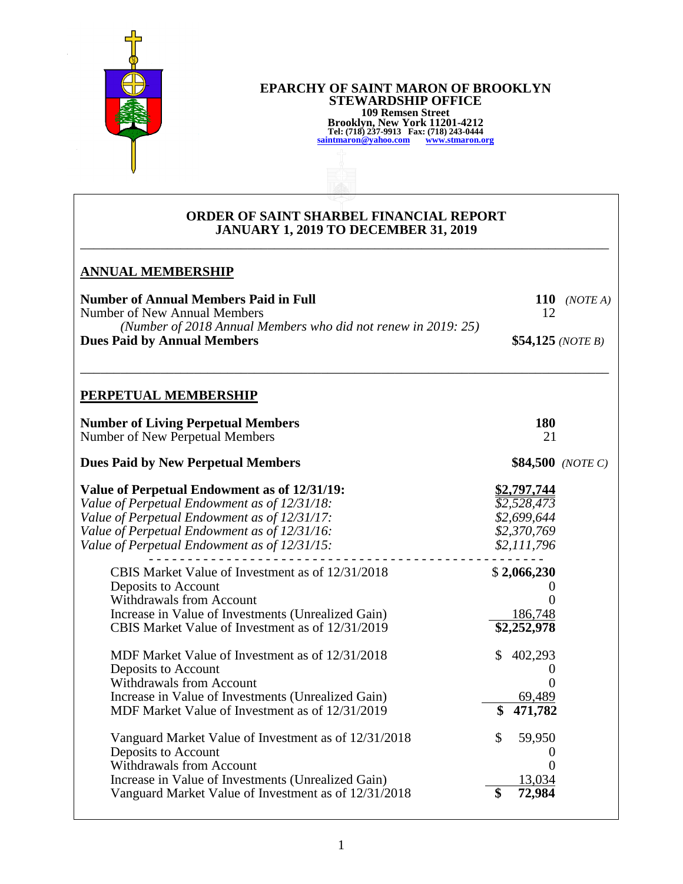

#### **EPARCHY OF SAINT MARON OF BROOKLYN STEWARDSHIP OFFICE 109 Remsen Street Brooklyn, New York 11201-4212 Tel: (718) 237-9913 Fax: (718) 243-0444 [saintmaron@yahoo.com](mailto:saintmaron@yahoo.com) [www.stmaron.org](http://www.stmaron.org/)**

### **ORDER OF SAINT SHARBEL FINANCIAL REPORT JANUARY 1, 2019 TO DECEMBER 31, 2019** \_\_\_\_\_\_\_\_\_\_\_\_\_\_\_\_\_\_\_\_\_\_\_\_\_\_\_\_\_\_\_\_\_\_\_\_\_\_\_\_\_\_\_\_\_\_\_\_\_\_\_\_\_\_\_\_\_\_\_\_\_\_\_\_\_\_\_\_\_\_\_\_\_\_\_\_\_\_\_

# **ANNUAL MEMBERSHIP Number of Annual Members Paid in Full 110** *(NOTE A)* Number of New Annual Members 12 *(Number of 2018 Annual Members who did not renew in 2019: 25)*  **Dues Paid by Annual Members**  $$54,125 (NOTE B)$ \_\_\_\_\_\_\_\_\_\_\_\_\_\_\_\_\_\_\_\_\_\_\_\_\_\_\_\_\_\_\_\_\_\_\_\_\_\_\_\_\_\_\_\_\_\_\_\_\_\_\_\_\_\_\_\_\_\_\_\_\_\_\_\_\_\_\_\_\_\_\_\_\_\_\_\_\_\_\_ **PERPETUAL MEMBERSHIP Number of Living Perpetual Members 180<br>
Number of New Perpetual Members 180<br>
21** Number of New Perpetual Members **Dues Paid by New Perpetual Members** \$84,500 *(NOTE C)* **Value of Perpetual Endowment as of 12/31/19:** \$2,797,744 *Value of Perpetual Endowment as of 12/31/18: \$2,528,473 Value of Perpetual Endowment as of 12/31/17: \$2,699,644 Value of Perpetual Endowment as of 12/31/16: \$2,370,769 Value of Perpetual Endowment as of 12/31/15: \$2,111,796* - - - - - - - - - - - - - - - - - - - - - - - - - - - - - - - - - - - - - - - - - - - - - - - - - - - CBIS Market Value of Investment as of 12/31/2018\$ **2,066,230** Deposits to Account 0 Withdrawals from Account 0 Increase in Value of Investments (Unrealized Gain) 186,748 CBIS Market Value of Investment as of 12/31/2019 **\$2,252,978** MDF Market Value of Investment as of  $12/31/2018$  \$ 402,293 Deposits to Account 0 Withdrawals from Account 0 Increase in Value of Investments (Unrealized Gain) 69,489 MDF Market Value of Investment as of 12/31/2019 **\$ 471,782** Vanguard Market Value of Investment as of  $12/31/2018$  \$ 59,950 Deposits to Account 0 Withdrawals from Account 0<br>Increase in Value of Investments (Unrealized Gain) 13.034 Increase in Value of Investments (Unrealized Gain) Vanguard Market Value of Investment as of 12/31/2018 **\$ 72,984**